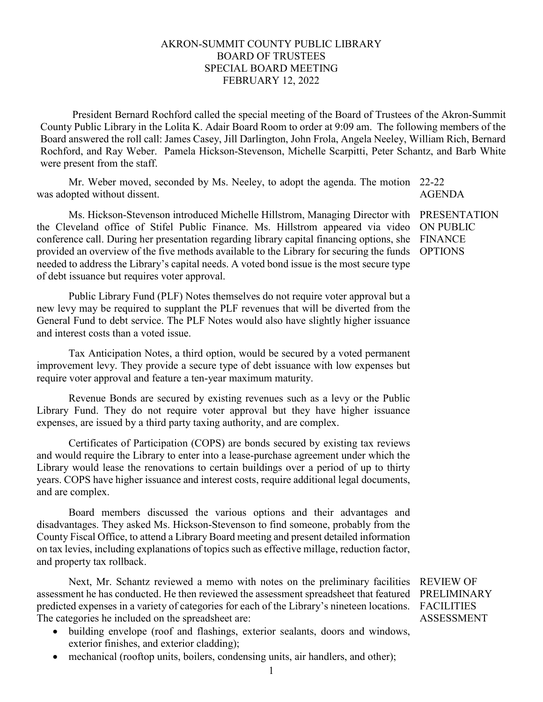## AKRON-SUMMIT COUNTY PUBLIC LIBRARY BOARD OF TRUSTEES SPECIAL BOARD MEETING FEBRUARY 12, 2022

President Bernard Rochford called the special meeting of the Board of Trustees of the Akron-Summit County Public Library in the Lolita K. Adair Board Room to order at 9:09 am. The following members of the Board answered the roll call: James Casey, Jill Darlington, John Frola, Angela Neeley, William Rich, Bernard Rochford, and Ray Weber. Pamela Hickson-Stevenson, Michelle Scarpitti, Peter Schantz, and Barb White were present from the staff.

Mr. Weber moved, seconded by Ms. Neeley, to adopt the agenda. The motion 22-22 was adopted without dissent. AGENDA

Ms. Hickson-Stevenson introduced Michelle Hillstrom, Managing Director with the Cleveland office of Stifel Public Finance. Ms. Hillstrom appeared via video conference call. During her presentation regarding library capital financing options, she provided an overview of the five methods available to the Library for securing the funds needed to address the Library's capital needs. A voted bond issue is the most secure type of debt issuance but requires voter approval.

PRESENTATION ON PUBLIC FINANCE OPTIONS

Public Library Fund (PLF) Notes themselves do not require voter approval but a new levy may be required to supplant the PLF revenues that will be diverted from the General Fund to debt service. The PLF Notes would also have slightly higher issuance and interest costs than a voted issue.

Tax Anticipation Notes, a third option, would be secured by a voted permanent improvement levy. They provide a secure type of debt issuance with low expenses but require voter approval and feature a ten-year maximum maturity.

Revenue Bonds are secured by existing revenues such as a levy or the Public Library Fund. They do not require voter approval but they have higher issuance expenses, are issued by a third party taxing authority, and are complex.

Certificates of Participation (COPS) are bonds secured by existing tax reviews and would require the Library to enter into a lease-purchase agreement under which the Library would lease the renovations to certain buildings over a period of up to thirty years. COPS have higher issuance and interest costs, require additional legal documents, and are complex.

Board members discussed the various options and their advantages and disadvantages. They asked Ms. Hickson-Stevenson to find someone, probably from the County Fiscal Office, to attend a Library Board meeting and present detailed information on tax levies, including explanations of topics such as effective millage, reduction factor, and property tax rollback.

Next, Mr. Schantz reviewed a memo with notes on the preliminary facilities assessment he has conducted. He then reviewed the assessment spreadsheet that featured predicted expenses in a variety of categories for each of the Library's nineteen locations. The categories he included on the spreadsheet are:

- building envelope (roof and flashings, exterior sealants, doors and windows, exterior finishes, and exterior cladding);
- mechanical (rooftop units, boilers, condensing units, air handlers, and other);

REVIEW OF PRELIMINARY **FACILITIES** ASSESSMENT